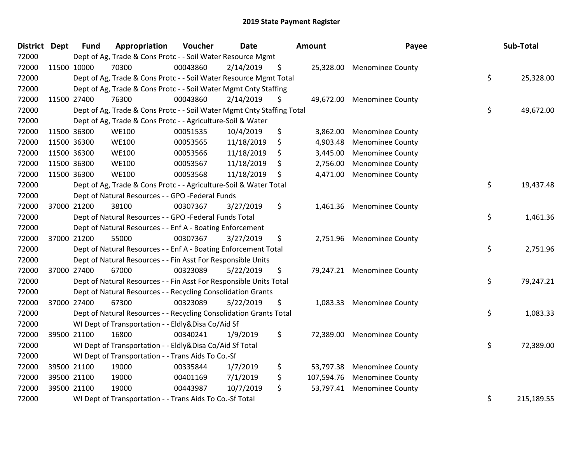| <b>District Dept</b> | <b>Fund</b> | Appropriation                                                          | Voucher  | <b>Date</b> |    | Amount     | Payee                      |    | Sub-Total  |
|----------------------|-------------|------------------------------------------------------------------------|----------|-------------|----|------------|----------------------------|----|------------|
| 72000                |             | Dept of Ag, Trade & Cons Protc - - Soil Water Resource Mgmt            |          |             |    |            |                            |    |            |
| 72000                | 11500 10000 | 70300                                                                  | 00043860 | 2/14/2019   | \$ |            | 25,328.00 Menominee County |    |            |
| 72000                |             | Dept of Ag, Trade & Cons Protc - - Soil Water Resource Mgmt Total      |          |             |    |            |                            | \$ | 25,328.00  |
| 72000                |             | Dept of Ag, Trade & Cons Protc - - Soil Water Mgmt Cnty Staffing       |          |             |    |            |                            |    |            |
| 72000                | 11500 27400 | 76300                                                                  | 00043860 | 2/14/2019   | \$ | 49,672.00  | <b>Menominee County</b>    |    |            |
| 72000                |             | Dept of Ag, Trade & Cons Protc - - Soil Water Mgmt Cnty Staffing Total |          |             |    |            |                            | \$ | 49,672.00  |
| 72000                |             | Dept of Ag, Trade & Cons Protc - - Agriculture-Soil & Water            |          |             |    |            |                            |    |            |
| 72000                | 11500 36300 | <b>WE100</b>                                                           | 00051535 | 10/4/2019   | \$ | 3,862.00   | <b>Menominee County</b>    |    |            |
| 72000                | 11500 36300 | <b>WE100</b>                                                           | 00053565 | 11/18/2019  | \$ | 4,903.48   | <b>Menominee County</b>    |    |            |
| 72000                | 11500 36300 | <b>WE100</b>                                                           | 00053566 | 11/18/2019  | \$ | 3,445.00   | <b>Menominee County</b>    |    |            |
| 72000                | 11500 36300 | <b>WE100</b>                                                           | 00053567 | 11/18/2019  | Ş  | 2,756.00   | <b>Menominee County</b>    |    |            |
| 72000                | 11500 36300 | <b>WE100</b>                                                           | 00053568 | 11/18/2019  | \$ | 4,471.00   | <b>Menominee County</b>    |    |            |
| 72000                |             | Dept of Ag, Trade & Cons Protc - - Agriculture-Soil & Water Total      |          |             |    |            |                            | \$ | 19,437.48  |
| 72000                |             | Dept of Natural Resources - - GPO -Federal Funds                       |          |             |    |            |                            |    |            |
| 72000                | 37000 21200 | 38100                                                                  | 00307367 | 3/27/2019   | \$ |            | 1,461.36 Menominee County  |    |            |
| 72000                |             | Dept of Natural Resources - - GPO -Federal Funds Total                 |          |             |    |            |                            |    | 1,461.36   |
| 72000                |             | Dept of Natural Resources - - Enf A - Boating Enforcement              |          |             |    |            |                            |    |            |
| 72000                | 37000 21200 | 55000                                                                  | 00307367 | 3/27/2019   | \$ | 2,751.96   | <b>Menominee County</b>    |    |            |
| 72000                |             | Dept of Natural Resources - - Enf A - Boating Enforcement Total        |          |             |    |            |                            | \$ | 2,751.96   |
| 72000                |             | Dept of Natural Resources - - Fin Asst For Responsible Units           |          |             |    |            |                            |    |            |
| 72000                | 37000 27400 | 67000                                                                  | 00323089 | 5/22/2019   | \$ |            | 79,247.21 Menominee County |    |            |
| 72000                |             | Dept of Natural Resources - - Fin Asst For Responsible Units Total     |          |             |    |            |                            | \$ | 79,247.21  |
| 72000                |             | Dept of Natural Resources - - Recycling Consolidation Grants           |          |             |    |            |                            |    |            |
| 72000                | 37000 27400 | 67300                                                                  | 00323089 | 5/22/2019   | \$ |            | 1,083.33 Menominee County  |    |            |
| 72000                |             | Dept of Natural Resources - - Recycling Consolidation Grants Total     |          |             |    |            |                            | \$ | 1,083.33   |
| 72000                |             | WI Dept of Transportation - - Eldly&Disa Co/Aid Sf                     |          |             |    |            |                            |    |            |
| 72000                | 39500 21100 | 16800                                                                  | 00340241 | 1/9/2019    | \$ | 72,389.00  | <b>Menominee County</b>    |    |            |
| 72000                |             | WI Dept of Transportation - - Eldly&Disa Co/Aid Sf Total               |          |             |    |            |                            | \$ | 72,389.00  |
| 72000                |             | WI Dept of Transportation - - Trans Aids To Co.-Sf                     |          |             |    |            |                            |    |            |
| 72000                | 39500 21100 | 19000                                                                  | 00335844 | 1/7/2019    | \$ | 53,797.38  | <b>Menominee County</b>    |    |            |
| 72000                | 39500 21100 | 19000                                                                  | 00401169 | 7/1/2019    | \$ | 107,594.76 | <b>Menominee County</b>    |    |            |
| 72000                | 39500 21100 | 19000                                                                  | 00443987 | 10/7/2019   | \$ | 53,797.41  | <b>Menominee County</b>    |    |            |
| 72000                |             | WI Dept of Transportation - - Trans Aids To Co.-Sf Total               |          |             |    |            |                            | \$ | 215,189.55 |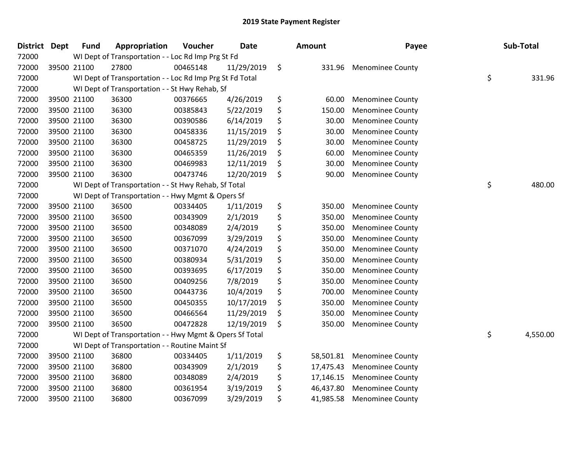| <b>District</b> | <b>Dept</b> | <b>Fund</b> | Appropriation                                            | Voucher  | Date       | <b>Amount</b>   | Payee                   | Sub-Total      |
|-----------------|-------------|-------------|----------------------------------------------------------|----------|------------|-----------------|-------------------------|----------------|
| 72000           |             |             | WI Dept of Transportation - - Loc Rd Imp Prg St Fd       |          |            |                 |                         |                |
| 72000           |             | 39500 21100 | 27800                                                    | 00465148 | 11/29/2019 | \$<br>331.96    | <b>Menominee County</b> |                |
| 72000           |             |             | WI Dept of Transportation - - Loc Rd Imp Prg St Fd Total |          |            |                 |                         | \$<br>331.96   |
| 72000           |             |             | WI Dept of Transportation - - St Hwy Rehab, Sf           |          |            |                 |                         |                |
| 72000           |             | 39500 21100 | 36300                                                    | 00376665 | 4/26/2019  | \$<br>60.00     | <b>Menominee County</b> |                |
| 72000           |             | 39500 21100 | 36300                                                    | 00385843 | 5/22/2019  | \$<br>150.00    | Menominee County        |                |
| 72000           |             | 39500 21100 | 36300                                                    | 00390586 | 6/14/2019  | \$<br>30.00     | <b>Menominee County</b> |                |
| 72000           |             | 39500 21100 | 36300                                                    | 00458336 | 11/15/2019 | \$<br>30.00     | <b>Menominee County</b> |                |
| 72000           |             | 39500 21100 | 36300                                                    | 00458725 | 11/29/2019 | \$<br>30.00     | <b>Menominee County</b> |                |
| 72000           |             | 39500 21100 | 36300                                                    | 00465359 | 11/26/2019 | \$<br>60.00     | <b>Menominee County</b> |                |
| 72000           |             | 39500 21100 | 36300                                                    | 00469983 | 12/11/2019 | \$<br>30.00     | <b>Menominee County</b> |                |
| 72000           |             | 39500 21100 | 36300                                                    | 00473746 | 12/20/2019 | \$<br>90.00     | <b>Menominee County</b> |                |
| 72000           |             |             | WI Dept of Transportation - - St Hwy Rehab, Sf Total     |          |            |                 |                         | \$<br>480.00   |
| 72000           |             |             | WI Dept of Transportation - - Hwy Mgmt & Opers Sf        |          |            |                 |                         |                |
| 72000           |             | 39500 21100 | 36500                                                    | 00334405 | 1/11/2019  | \$<br>350.00    | <b>Menominee County</b> |                |
| 72000           |             | 39500 21100 | 36500                                                    | 00343909 | 2/1/2019   | \$<br>350.00    | <b>Menominee County</b> |                |
| 72000           |             | 39500 21100 | 36500                                                    | 00348089 | 2/4/2019   | \$<br>350.00    | <b>Menominee County</b> |                |
| 72000           |             | 39500 21100 | 36500                                                    | 00367099 | 3/29/2019  | \$<br>350.00    | <b>Menominee County</b> |                |
| 72000           |             | 39500 21100 | 36500                                                    | 00371070 | 4/24/2019  | \$<br>350.00    | <b>Menominee County</b> |                |
| 72000           |             | 39500 21100 | 36500                                                    | 00380934 | 5/31/2019  | \$<br>350.00    | <b>Menominee County</b> |                |
| 72000           |             | 39500 21100 | 36500                                                    | 00393695 | 6/17/2019  | \$<br>350.00    | <b>Menominee County</b> |                |
| 72000           |             | 39500 21100 | 36500                                                    | 00409256 | 7/8/2019   | \$<br>350.00    | <b>Menominee County</b> |                |
| 72000           |             | 39500 21100 | 36500                                                    | 00443736 | 10/4/2019  | \$<br>700.00    | <b>Menominee County</b> |                |
| 72000           |             | 39500 21100 | 36500                                                    | 00450355 | 10/17/2019 | \$<br>350.00    | <b>Menominee County</b> |                |
| 72000           |             | 39500 21100 | 36500                                                    | 00466564 | 11/29/2019 | \$<br>350.00    | <b>Menominee County</b> |                |
| 72000           |             | 39500 21100 | 36500                                                    | 00472828 | 12/19/2019 | \$<br>350.00    | <b>Menominee County</b> |                |
| 72000           |             |             | WI Dept of Transportation - - Hwy Mgmt & Opers Sf Total  |          |            |                 |                         | \$<br>4,550.00 |
| 72000           |             |             | WI Dept of Transportation - - Routine Maint Sf           |          |            |                 |                         |                |
| 72000           |             | 39500 21100 | 36800                                                    | 00334405 | 1/11/2019  | \$<br>58,501.81 | <b>Menominee County</b> |                |
| 72000           |             | 39500 21100 | 36800                                                    | 00343909 | 2/1/2019   | \$<br>17,475.43 | <b>Menominee County</b> |                |
| 72000           |             | 39500 21100 | 36800                                                    | 00348089 | 2/4/2019   | \$<br>17,146.15 | <b>Menominee County</b> |                |
| 72000           |             | 39500 21100 | 36800                                                    | 00361954 | 3/19/2019  | \$<br>46,437.80 | <b>Menominee County</b> |                |
| 72000           |             | 39500 21100 | 36800                                                    | 00367099 | 3/29/2019  | \$<br>41,985.58 | <b>Menominee County</b> |                |
|                 |             |             |                                                          |          |            |                 |                         |                |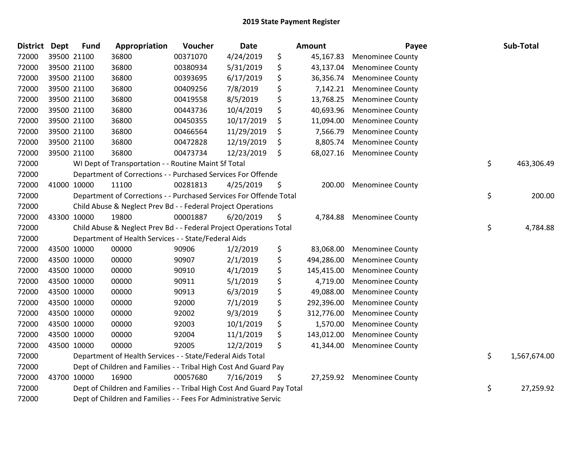| District Dept | <b>Fund</b> | Appropriation                                                          | Voucher  | <b>Date</b> |     | Amount     | Payee                   | Sub-Total          |
|---------------|-------------|------------------------------------------------------------------------|----------|-------------|-----|------------|-------------------------|--------------------|
| 72000         | 39500 21100 | 36800                                                                  | 00371070 | 4/24/2019   | \$  | 45,167.83  | <b>Menominee County</b> |                    |
| 72000         | 39500 21100 | 36800                                                                  | 00380934 | 5/31/2019   | \$  | 43,137.04  | <b>Menominee County</b> |                    |
| 72000         | 39500 21100 | 36800                                                                  | 00393695 | 6/17/2019   | \$  | 36,356.74  | <b>Menominee County</b> |                    |
| 72000         | 39500 21100 | 36800                                                                  | 00409256 | 7/8/2019    | \$  | 7,142.21   | <b>Menominee County</b> |                    |
| 72000         | 39500 21100 | 36800                                                                  | 00419558 | 8/5/2019    | \$  | 13,768.25  | <b>Menominee County</b> |                    |
| 72000         | 39500 21100 | 36800                                                                  | 00443736 | 10/4/2019   | \$  | 40,693.96  | <b>Menominee County</b> |                    |
| 72000         | 39500 21100 | 36800                                                                  | 00450355 | 10/17/2019  | \$  | 11,094.00  | <b>Menominee County</b> |                    |
| 72000         | 39500 21100 | 36800                                                                  | 00466564 | 11/29/2019  | \$  | 7,566.79   | <b>Menominee County</b> |                    |
| 72000         | 39500 21100 | 36800                                                                  | 00472828 | 12/19/2019  | \$, | 8,805.74   | <b>Menominee County</b> |                    |
| 72000         | 39500 21100 | 36800                                                                  | 00473734 | 12/23/2019  | \$  | 68,027.16  | <b>Menominee County</b> |                    |
| 72000         |             | WI Dept of Transportation - - Routine Maint Sf Total                   |          |             |     |            |                         | \$<br>463,306.49   |
| 72000         |             | Department of Corrections - - Purchased Services For Offende           |          |             |     |            |                         |                    |
| 72000         | 41000 10000 | 11100                                                                  | 00281813 | 4/25/2019   | \$  | 200.00     | <b>Menominee County</b> |                    |
| 72000         |             | Department of Corrections - - Purchased Services For Offende Total     |          |             |     |            |                         | \$<br>200.00       |
| 72000         |             | Child Abuse & Neglect Prev Bd - - Federal Project Operations           |          |             |     |            |                         |                    |
| 72000         | 43300 10000 | 19800                                                                  | 00001887 | 6/20/2019   | \$  | 4,784.88   | <b>Menominee County</b> |                    |
| 72000         |             | Child Abuse & Neglect Prev Bd - - Federal Project Operations Total     |          |             |     |            |                         | \$<br>4,784.88     |
| 72000         |             | Department of Health Services - - State/Federal Aids                   |          |             |     |            |                         |                    |
| 72000         | 43500 10000 | 00000                                                                  | 90906    | 1/2/2019    | \$  | 83,068.00  | <b>Menominee County</b> |                    |
| 72000         | 43500 10000 | 00000                                                                  | 90907    | 2/1/2019    | \$  | 494,286.00 | <b>Menominee County</b> |                    |
| 72000         | 43500 10000 | 00000                                                                  | 90910    | 4/1/2019    | \$  | 145,415.00 | <b>Menominee County</b> |                    |
| 72000         | 43500 10000 | 00000                                                                  | 90911    | 5/1/2019    | \$  | 4,719.00   | <b>Menominee County</b> |                    |
| 72000         | 43500 10000 | 00000                                                                  | 90913    | 6/3/2019    | \$  | 49,088.00  | <b>Menominee County</b> |                    |
| 72000         | 43500 10000 | 00000                                                                  | 92000    | 7/1/2019    | \$  | 292,396.00 | <b>Menominee County</b> |                    |
| 72000         | 43500 10000 | 00000                                                                  | 92002    | 9/3/2019    | \$  | 312,776.00 | <b>Menominee County</b> |                    |
| 72000         | 43500 10000 | 00000                                                                  | 92003    | 10/1/2019   | \$  | 1,570.00   | <b>Menominee County</b> |                    |
| 72000         | 43500 10000 | 00000                                                                  | 92004    | 11/1/2019   | \$  | 143,012.00 | <b>Menominee County</b> |                    |
| 72000         | 43500 10000 | 00000                                                                  | 92005    | 12/2/2019   | \$  | 41,344.00  | <b>Menominee County</b> |                    |
| 72000         |             | Department of Health Services - - State/Federal Aids Total             |          |             |     |            |                         | \$<br>1,567,674.00 |
| 72000         |             | Dept of Children and Families - - Tribal High Cost And Guard Pay       |          |             |     |            |                         |                    |
| 72000         | 43700 10000 | 16900                                                                  | 00057680 | 7/16/2019   | \$  | 27,259.92  | <b>Menominee County</b> |                    |
| 72000         |             | Dept of Children and Families - - Tribal High Cost And Guard Pay Total |          |             |     |            |                         | \$<br>27,259.92    |
| 72000         |             | Dept of Children and Families - - Fees For Administrative Servic       |          |             |     |            |                         |                    |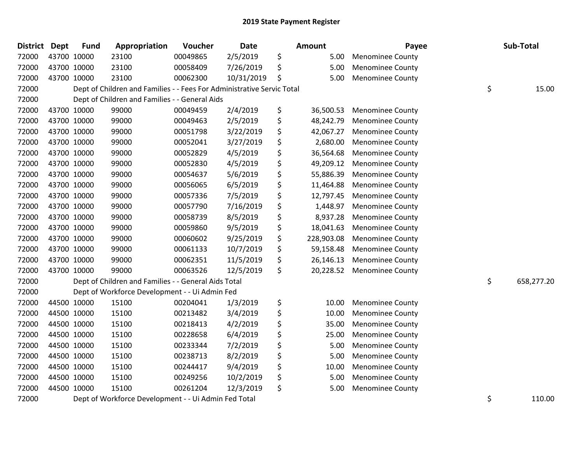| District Dept | <b>Fund</b> | Appropriation                                                          | Voucher  | <b>Date</b> | Amount           | Payee                   | Sub-Total        |
|---------------|-------------|------------------------------------------------------------------------|----------|-------------|------------------|-------------------------|------------------|
| 72000         | 43700 10000 | 23100                                                                  | 00049865 | 2/5/2019    | \$<br>5.00       | <b>Menominee County</b> |                  |
| 72000         | 43700 10000 | 23100                                                                  | 00058409 | 7/26/2019   | \$<br>5.00       | <b>Menominee County</b> |                  |
| 72000         | 43700 10000 | 23100                                                                  | 00062300 | 10/31/2019  | \$<br>5.00       | Menominee County        |                  |
| 72000         |             | Dept of Children and Families - - Fees For Administrative Servic Total |          |             |                  |                         | \$<br>15.00      |
| 72000         |             | Dept of Children and Families - - General Aids                         |          |             |                  |                         |                  |
| 72000         | 43700 10000 | 99000                                                                  | 00049459 | 2/4/2019    | \$<br>36,500.53  | <b>Menominee County</b> |                  |
| 72000         | 43700 10000 | 99000                                                                  | 00049463 | 2/5/2019    | \$<br>48,242.79  | <b>Menominee County</b> |                  |
| 72000         | 43700 10000 | 99000                                                                  | 00051798 | 3/22/2019   | \$<br>42,067.27  | <b>Menominee County</b> |                  |
| 72000         | 43700 10000 | 99000                                                                  | 00052041 | 3/27/2019   | \$<br>2,680.00   | <b>Menominee County</b> |                  |
| 72000         | 43700 10000 | 99000                                                                  | 00052829 | 4/5/2019    | \$<br>36,564.68  | <b>Menominee County</b> |                  |
| 72000         | 43700 10000 | 99000                                                                  | 00052830 | 4/5/2019    | \$<br>49,209.12  | <b>Menominee County</b> |                  |
| 72000         | 43700 10000 | 99000                                                                  | 00054637 | 5/6/2019    | \$<br>55,886.39  | <b>Menominee County</b> |                  |
| 72000         | 43700 10000 | 99000                                                                  | 00056065 | 6/5/2019    | \$<br>11,464.88  | <b>Menominee County</b> |                  |
| 72000         | 43700 10000 | 99000                                                                  | 00057336 | 7/5/2019    | \$<br>12,797.45  | <b>Menominee County</b> |                  |
| 72000         | 43700 10000 | 99000                                                                  | 00057790 | 7/16/2019   | \$<br>1,448.97   | <b>Menominee County</b> |                  |
| 72000         | 43700 10000 | 99000                                                                  | 00058739 | 8/5/2019    | \$<br>8,937.28   | <b>Menominee County</b> |                  |
| 72000         | 43700 10000 | 99000                                                                  | 00059860 | 9/5/2019    | \$<br>18,041.63  | <b>Menominee County</b> |                  |
| 72000         | 43700 10000 | 99000                                                                  | 00060602 | 9/25/2019   | \$<br>228,903.08 | <b>Menominee County</b> |                  |
| 72000         | 43700 10000 | 99000                                                                  | 00061133 | 10/7/2019   | \$<br>59,158.48  | <b>Menominee County</b> |                  |
| 72000         | 43700 10000 | 99000                                                                  | 00062351 | 11/5/2019   | \$<br>26,146.13  | <b>Menominee County</b> |                  |
| 72000         | 43700 10000 | 99000                                                                  | 00063526 | 12/5/2019   | \$<br>20,228.52  | <b>Menominee County</b> |                  |
| 72000         |             | Dept of Children and Families - - General Aids Total                   |          |             |                  |                         | \$<br>658,277.20 |
| 72000         |             | Dept of Workforce Development - - Ui Admin Fed                         |          |             |                  |                         |                  |
| 72000         | 44500 10000 | 15100                                                                  | 00204041 | 1/3/2019    | \$<br>10.00      | Menominee County        |                  |
| 72000         | 44500 10000 | 15100                                                                  | 00213482 | 3/4/2019    | \$<br>10.00      | <b>Menominee County</b> |                  |
| 72000         | 44500 10000 | 15100                                                                  | 00218413 | 4/2/2019    | \$<br>35.00      | <b>Menominee County</b> |                  |
| 72000         | 44500 10000 | 15100                                                                  | 00228658 | 6/4/2019    | \$<br>25.00      | <b>Menominee County</b> |                  |
| 72000         | 44500 10000 | 15100                                                                  | 00233344 | 7/2/2019    | \$<br>5.00       | <b>Menominee County</b> |                  |
| 72000         | 44500 10000 | 15100                                                                  | 00238713 | 8/2/2019    | \$<br>5.00       | <b>Menominee County</b> |                  |
| 72000         | 44500 10000 | 15100                                                                  | 00244417 | 9/4/2019    | \$<br>10.00      | <b>Menominee County</b> |                  |
| 72000         | 44500 10000 | 15100                                                                  | 00249256 | 10/2/2019   | \$<br>5.00       | <b>Menominee County</b> |                  |
| 72000         | 44500 10000 | 15100                                                                  | 00261204 | 12/3/2019   | \$<br>5.00       | <b>Menominee County</b> |                  |
| 72000         |             | Dept of Workforce Development - - Ui Admin Fed Total                   |          |             |                  |                         | \$<br>110.00     |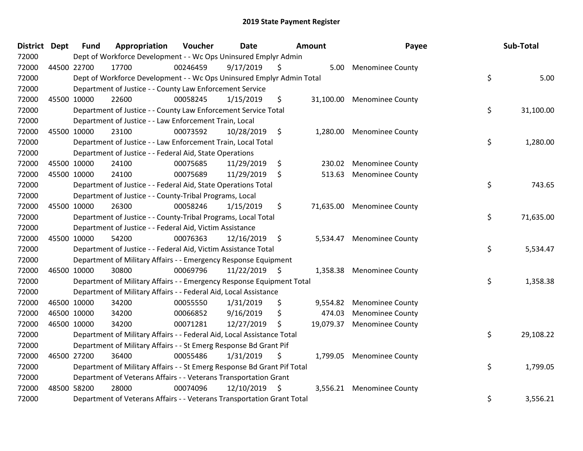| District Dept |             | <b>Fund</b> | Appropriation                                                           | Voucher  | <b>Date</b>   | <b>Amount</b> |           | Payee                   |    | Sub-Total |
|---------------|-------------|-------------|-------------------------------------------------------------------------|----------|---------------|---------------|-----------|-------------------------|----|-----------|
| 72000         |             |             | Dept of Workforce Development - - Wc Ops Uninsured Emplyr Admin         |          |               |               |           |                         |    |           |
| 72000         | 44500 22700 |             | 17700                                                                   | 00246459 | 9/17/2019     | \$.           | 5.00      | <b>Menominee County</b> |    |           |
| 72000         |             |             | Dept of Workforce Development - - Wc Ops Uninsured Emplyr Admin Total   |          |               |               |           |                         | \$ | 5.00      |
| 72000         |             |             | Department of Justice - - County Law Enforcement Service                |          |               |               |           |                         |    |           |
| 72000         |             | 45500 10000 | 22600                                                                   | 00058245 | 1/15/2019     | \$            | 31,100.00 | <b>Menominee County</b> |    |           |
| 72000         |             |             | Department of Justice - - County Law Enforcement Service Total          |          |               |               |           |                         | \$ | 31,100.00 |
| 72000         |             |             | Department of Justice - - Law Enforcement Train, Local                  |          |               |               |           |                         |    |           |
| 72000         |             | 45500 10000 | 23100                                                                   | 00073592 | 10/28/2019    | - \$          | 1,280.00  | <b>Menominee County</b> |    |           |
| 72000         |             |             | Department of Justice - - Law Enforcement Train, Local Total            |          |               |               |           |                         | \$ | 1,280.00  |
| 72000         |             |             | Department of Justice - - Federal Aid, State Operations                 |          |               |               |           |                         |    |           |
| 72000         |             | 45500 10000 | 24100                                                                   | 00075685 | 11/29/2019    | \$            | 230.02    | <b>Menominee County</b> |    |           |
| 72000         |             | 45500 10000 | 24100                                                                   | 00075689 | 11/29/2019    | \$            | 513.63    | <b>Menominee County</b> |    |           |
| 72000         |             |             | Department of Justice - - Federal Aid, State Operations Total           |          |               |               |           |                         | \$ | 743.65    |
| 72000         |             |             | Department of Justice - - County-Tribal Programs, Local                 |          |               |               |           |                         |    |           |
| 72000         |             | 45500 10000 | 26300                                                                   | 00058246 | 1/15/2019     | \$            | 71,635.00 | <b>Menominee County</b> |    |           |
| 72000         |             |             | Department of Justice - - County-Tribal Programs, Local Total           |          |               |               |           |                         | \$ | 71,635.00 |
| 72000         |             |             | Department of Justice - - Federal Aid, Victim Assistance                |          |               |               |           |                         |    |           |
| 72000         |             | 45500 10000 | 54200                                                                   | 00076363 | 12/16/2019 \$ |               | 5,534.47  | <b>Menominee County</b> |    |           |
| 72000         |             |             | Department of Justice - - Federal Aid, Victim Assistance Total          |          |               |               |           |                         | \$ | 5,534.47  |
| 72000         |             |             | Department of Military Affairs - - Emergency Response Equipment         |          |               |               |           |                         |    |           |
| 72000         | 46500 10000 |             | 30800                                                                   | 00069796 | 11/22/2019 \$ |               | 1,358.38  | <b>Menominee County</b> |    |           |
| 72000         |             |             | Department of Military Affairs - - Emergency Response Equipment Total   |          |               |               |           |                         | \$ | 1,358.38  |
| 72000         |             |             | Department of Military Affairs - - Federal Aid, Local Assistance        |          |               |               |           |                         |    |           |
| 72000         |             | 46500 10000 | 34200                                                                   | 00055550 | 1/31/2019     | \$            | 9,554.82  | <b>Menominee County</b> |    |           |
| 72000         |             | 46500 10000 | 34200                                                                   | 00066852 | 9/16/2019     | \$            | 474.03    | <b>Menominee County</b> |    |           |
| 72000         |             | 46500 10000 | 34200                                                                   | 00071281 | 12/27/2019    | \$            | 19,079.37 | <b>Menominee County</b> |    |           |
| 72000         |             |             | Department of Military Affairs - - Federal Aid, Local Assistance Total  |          |               |               |           |                         | \$ | 29,108.22 |
| 72000         |             |             | Department of Military Affairs - - St Emerg Response Bd Grant Pif       |          |               |               |           |                         |    |           |
| 72000         |             | 46500 27200 | 36400                                                                   | 00055486 | 1/31/2019     | \$            | 1,799.05  | <b>Menominee County</b> |    |           |
| 72000         |             |             | Department of Military Affairs - - St Emerg Response Bd Grant Pif Total |          |               |               |           |                         | \$ | 1,799.05  |
| 72000         |             |             | Department of Veterans Affairs - - Veterans Transportation Grant        |          |               |               |           |                         |    |           |
| 72000         | 48500 58200 |             | 28000                                                                   | 00074096 | 12/10/2019    | \$            | 3,556.21  | <b>Menominee County</b> |    |           |
| 72000         |             |             | Department of Veterans Affairs - - Veterans Transportation Grant Total  |          |               |               |           |                         | \$ | 3,556.21  |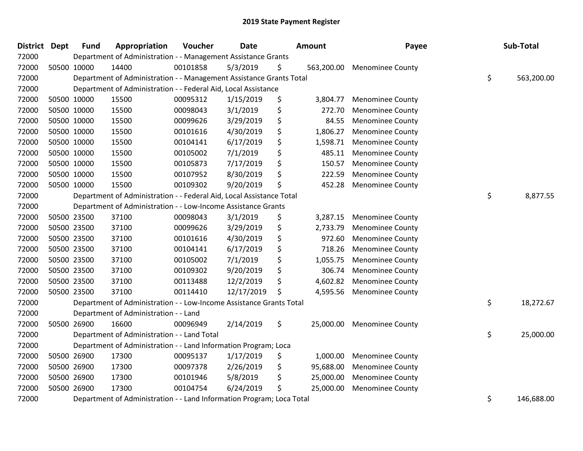| District Dept | <b>Fund</b> | Appropriation                                                         | Voucher  | Date       | <b>Amount</b>    | Payee                   | Sub-Total        |
|---------------|-------------|-----------------------------------------------------------------------|----------|------------|------------------|-------------------------|------------------|
| 72000         |             | Department of Administration - - Management Assistance Grants         |          |            |                  |                         |                  |
| 72000         | 50500 10000 | 14400                                                                 | 00101858 | 5/3/2019   | \$<br>563,200.00 | <b>Menominee County</b> |                  |
| 72000         |             | Department of Administration - - Management Assistance Grants Total   |          |            |                  |                         | \$<br>563,200.00 |
| 72000         |             | Department of Administration - - Federal Aid, Local Assistance        |          |            |                  |                         |                  |
| 72000         | 50500 10000 | 15500                                                                 | 00095312 | 1/15/2019  | \$<br>3,804.77   | <b>Menominee County</b> |                  |
| 72000         | 50500 10000 | 15500                                                                 | 00098043 | 3/1/2019   | \$<br>272.70     | <b>Menominee County</b> |                  |
| 72000         | 50500 10000 | 15500                                                                 | 00099626 | 3/29/2019  | \$<br>84.55      | <b>Menominee County</b> |                  |
| 72000         | 50500 10000 | 15500                                                                 | 00101616 | 4/30/2019  | \$<br>1,806.27   | <b>Menominee County</b> |                  |
| 72000         | 50500 10000 | 15500                                                                 | 00104141 | 6/17/2019  | \$<br>1,598.71   | <b>Menominee County</b> |                  |
| 72000         | 50500 10000 | 15500                                                                 | 00105002 | 7/1/2019   | \$<br>485.11     | <b>Menominee County</b> |                  |
| 72000         | 50500 10000 | 15500                                                                 | 00105873 | 7/17/2019  | \$<br>150.57     | <b>Menominee County</b> |                  |
| 72000         | 50500 10000 | 15500                                                                 | 00107952 | 8/30/2019  | \$<br>222.59     | <b>Menominee County</b> |                  |
| 72000         | 50500 10000 | 15500                                                                 | 00109302 | 9/20/2019  | \$<br>452.28     | <b>Menominee County</b> |                  |
| 72000         |             | Department of Administration - - Federal Aid, Local Assistance Total  |          |            |                  |                         | \$<br>8,877.55   |
| 72000         |             | Department of Administration - - Low-Income Assistance Grants         |          |            |                  |                         |                  |
| 72000         | 50500 23500 | 37100                                                                 | 00098043 | 3/1/2019   | \$<br>3,287.15   | <b>Menominee County</b> |                  |
| 72000         | 50500 23500 | 37100                                                                 | 00099626 | 3/29/2019  | \$<br>2,733.79   | <b>Menominee County</b> |                  |
| 72000         | 50500 23500 | 37100                                                                 | 00101616 | 4/30/2019  | \$<br>972.60     | <b>Menominee County</b> |                  |
| 72000         | 50500 23500 | 37100                                                                 | 00104141 | 6/17/2019  | \$<br>718.26     | <b>Menominee County</b> |                  |
| 72000         | 50500 23500 | 37100                                                                 | 00105002 | 7/1/2019   | \$<br>1,055.75   | <b>Menominee County</b> |                  |
| 72000         | 50500 23500 | 37100                                                                 | 00109302 | 9/20/2019  | \$<br>306.74     | <b>Menominee County</b> |                  |
| 72000         | 50500 23500 | 37100                                                                 | 00113488 | 12/2/2019  | \$<br>4,602.82   | <b>Menominee County</b> |                  |
| 72000         | 50500 23500 | 37100                                                                 | 00114410 | 12/17/2019 | \$<br>4,595.56   | <b>Menominee County</b> |                  |
| 72000         |             | Department of Administration - - Low-Income Assistance Grants Total   |          |            |                  |                         | \$<br>18,272.67  |
| 72000         |             | Department of Administration - - Land                                 |          |            |                  |                         |                  |
| 72000         | 50500 26900 | 16600                                                                 | 00096949 | 2/14/2019  | \$<br>25,000.00  | <b>Menominee County</b> |                  |
| 72000         |             | Department of Administration - - Land Total                           |          |            |                  |                         | \$<br>25,000.00  |
| 72000         |             | Department of Administration - - Land Information Program; Loca       |          |            |                  |                         |                  |
| 72000         | 50500 26900 | 17300                                                                 | 00095137 | 1/17/2019  | \$<br>1,000.00   | <b>Menominee County</b> |                  |
| 72000         | 50500 26900 | 17300                                                                 | 00097378 | 2/26/2019  | \$<br>95,688.00  | <b>Menominee County</b> |                  |
| 72000         | 50500 26900 | 17300                                                                 | 00101946 | 5/8/2019   | \$<br>25,000.00  | <b>Menominee County</b> |                  |
| 72000         | 50500 26900 | 17300                                                                 | 00104754 | 6/24/2019  | \$<br>25,000.00  | <b>Menominee County</b> |                  |
| 72000         |             | Department of Administration - - Land Information Program; Loca Total |          |            |                  |                         | \$<br>146,688.00 |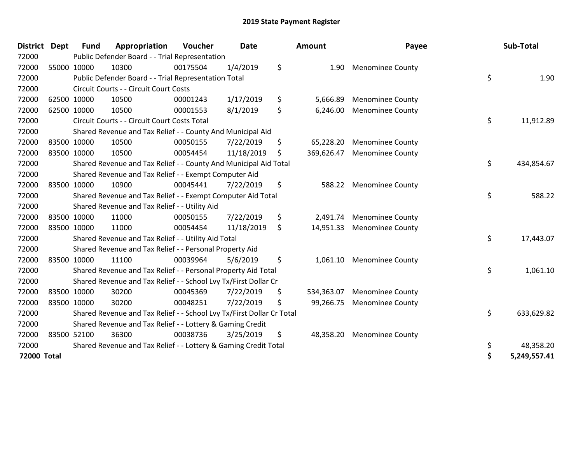| <b>District</b>    | Dept | <b>Fund</b>                                                           | Appropriation                                                         | Voucher  | <b>Date</b> |    | <b>Amount</b> | Payee                     |    | Sub-Total    |
|--------------------|------|-----------------------------------------------------------------------|-----------------------------------------------------------------------|----------|-------------|----|---------------|---------------------------|----|--------------|
| 72000              |      |                                                                       | Public Defender Board - - Trial Representation                        |          |             |    |               |                           |    |              |
| 72000              |      | 55000 10000                                                           | 10300                                                                 | 00175504 | 1/4/2019    | \$ | 1.90          | <b>Menominee County</b>   |    |              |
| 72000              |      |                                                                       | Public Defender Board - - Trial Representation Total                  |          |             |    |               |                           | \$ | 1.90         |
| 72000              |      |                                                                       | Circuit Courts - - Circuit Court Costs                                |          |             |    |               |                           |    |              |
| 72000              |      | 62500 10000                                                           | 10500                                                                 | 00001243 | 1/17/2019   | \$ | 5,666.89      | <b>Menominee County</b>   |    |              |
| 72000              |      | 62500 10000                                                           | 10500                                                                 | 00001553 | 8/1/2019    | \$ | 6,246.00      | <b>Menominee County</b>   |    |              |
| 72000              |      |                                                                       | Circuit Courts - - Circuit Court Costs Total                          |          |             |    |               |                           | \$ | 11,912.89    |
| 72000              |      |                                                                       | Shared Revenue and Tax Relief - - County And Municipal Aid            |          |             |    |               |                           |    |              |
| 72000              |      | 83500 10000                                                           | 10500                                                                 | 00050155 | 7/22/2019   | \$ | 65,228.20     | <b>Menominee County</b>   |    |              |
| 72000              |      | 83500 10000                                                           | 10500                                                                 | 00054454 | 11/18/2019  | \$ | 369,626.47    | <b>Menominee County</b>   |    |              |
| 72000              |      |                                                                       | Shared Revenue and Tax Relief - - County And Municipal Aid Total      |          |             |    |               |                           | \$ | 434,854.67   |
| 72000              |      |                                                                       | Shared Revenue and Tax Relief - - Exempt Computer Aid                 |          |             |    |               |                           |    |              |
| 72000              |      | 83500 10000                                                           | 10900                                                                 | 00045441 | 7/22/2019   | \$ | 588.22        | <b>Menominee County</b>   |    |              |
| 72000              |      |                                                                       | Shared Revenue and Tax Relief - - Exempt Computer Aid Total           |          |             |    |               |                           | \$ | 588.22       |
| 72000              |      |                                                                       | Shared Revenue and Tax Relief - - Utility Aid                         |          |             |    |               |                           |    |              |
| 72000              |      | 83500 10000                                                           | 11000                                                                 | 00050155 | 7/22/2019   | \$ | 2,491.74      | <b>Menominee County</b>   |    |              |
| 72000              |      | 83500 10000                                                           | 11000                                                                 | 00054454 | 11/18/2019  | \$ | 14,951.33     | <b>Menominee County</b>   |    |              |
| 72000              |      |                                                                       | Shared Revenue and Tax Relief - - Utility Aid Total                   |          |             |    |               |                           | \$ | 17,443.07    |
| 72000              |      |                                                                       | Shared Revenue and Tax Relief - - Personal Property Aid               |          |             |    |               |                           |    |              |
| 72000              |      | 83500 10000                                                           | 11100                                                                 | 00039964 | 5/6/2019    | \$ |               | 1,061.10 Menominee County |    |              |
| 72000              |      |                                                                       | Shared Revenue and Tax Relief - - Personal Property Aid Total         |          |             |    |               |                           | \$ | 1,061.10     |
| 72000              |      |                                                                       | Shared Revenue and Tax Relief - - School Lvy Tx/First Dollar Cr       |          |             |    |               |                           |    |              |
| 72000              |      | 83500 10000                                                           | 30200                                                                 | 00045369 | 7/22/2019   | \$ | 534,363.07    | <b>Menominee County</b>   |    |              |
| 72000              |      | 83500 10000                                                           | 30200                                                                 | 00048251 | 7/22/2019   | \$ | 99,266.75     | <b>Menominee County</b>   |    |              |
| 72000              |      |                                                                       | Shared Revenue and Tax Relief - - School Lvy Tx/First Dollar Cr Total |          |             |    |               |                           | \$ | 633,629.82   |
| 72000              |      |                                                                       | Shared Revenue and Tax Relief - - Lottery & Gaming Credit             |          |             |    |               |                           |    |              |
| 72000              |      | 83500 52100                                                           | 36300                                                                 | 00038736 | 3/25/2019   | \$ | 48,358.20     | <b>Menominee County</b>   |    |              |
| 72000              |      | Shared Revenue and Tax Relief - - Lottery & Gaming Credit Total<br>\$ |                                                                       |          |             |    |               |                           |    | 48,358.20    |
| <b>72000 Total</b> |      |                                                                       |                                                                       |          |             |    |               |                           | \$ | 5,249,557.41 |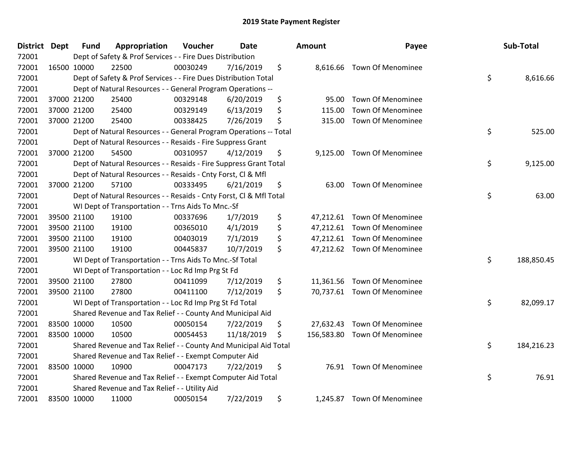| District Dept | <b>Fund</b> | Appropriation                                                      | Voucher  | Date       |    | <b>Amount</b> | Payee                        |    | Sub-Total  |  |
|---------------|-------------|--------------------------------------------------------------------|----------|------------|----|---------------|------------------------------|----|------------|--|
| 72001         |             | Dept of Safety & Prof Services - - Fire Dues Distribution          |          |            |    |               |                              |    |            |  |
| 72001         | 16500 10000 | 22500                                                              | 00030249 | 7/16/2019  | \$ |               | 8,616.66 Town Of Menominee   |    |            |  |
| 72001         |             | Dept of Safety & Prof Services - - Fire Dues Distribution Total    |          |            |    |               |                              | \$ | 8,616.66   |  |
| 72001         |             | Dept of Natural Resources - - General Program Operations --        |          |            |    |               |                              |    |            |  |
| 72001         | 37000 21200 | 25400                                                              | 00329148 | 6/20/2019  | \$ | 95.00         | <b>Town Of Menominee</b>     |    |            |  |
| 72001         | 37000 21200 | 25400                                                              | 00329149 | 6/13/2019  | \$ | 115.00        | <b>Town Of Menominee</b>     |    |            |  |
| 72001         | 37000 21200 | 25400                                                              | 00338425 | 7/26/2019  | \$ | 315.00        | <b>Town Of Menominee</b>     |    |            |  |
| 72001         |             | Dept of Natural Resources - - General Program Operations -- Total  |          |            |    |               |                              | \$ | 525.00     |  |
| 72001         |             | Dept of Natural Resources - - Resaids - Fire Suppress Grant        |          |            |    |               |                              |    |            |  |
| 72001         | 37000 21200 | 54500                                                              | 00310957 | 4/12/2019  | \$ |               | 9,125.00 Town Of Menominee   |    |            |  |
| 72001         |             | Dept of Natural Resources - - Resaids - Fire Suppress Grant Total  |          |            |    |               |                              | \$ | 9,125.00   |  |
| 72001         |             | Dept of Natural Resources - - Resaids - Cnty Forst, Cl & Mfl       |          |            |    |               |                              |    |            |  |
| 72001         | 37000 21200 | 57100                                                              | 00333495 | 6/21/2019  | \$ | 63.00         | <b>Town Of Menominee</b>     |    |            |  |
| 72001         |             | Dept of Natural Resources - - Resaids - Cnty Forst, Cl & Mfl Total |          |            |    |               |                              | \$ | 63.00      |  |
| 72001         |             | WI Dept of Transportation - - Trns Aids To Mnc.-Sf                 |          |            |    |               |                              |    |            |  |
| 72001         | 39500 21100 | 19100                                                              | 00337696 | 1/7/2019   | \$ |               | 47,212.61 Town Of Menominee  |    |            |  |
| 72001         | 39500 21100 | 19100                                                              | 00365010 | 4/1/2019   | \$ |               | 47,212.61 Town Of Menominee  |    |            |  |
| 72001         | 39500 21100 | 19100                                                              | 00403019 | 7/1/2019   | \$ |               | 47,212.61 Town Of Menominee  |    |            |  |
| 72001         | 39500 21100 | 19100                                                              | 00445837 | 10/7/2019  | \$ |               | 47,212.62 Town Of Menominee  |    |            |  |
| 72001         |             | WI Dept of Transportation - - Trns Aids To Mnc.-Sf Total           |          |            |    |               |                              | \$ | 188,850.45 |  |
| 72001         |             | WI Dept of Transportation - - Loc Rd Imp Prg St Fd                 |          |            |    |               |                              |    |            |  |
| 72001         | 39500 21100 | 27800                                                              | 00411099 | 7/12/2019  | \$ |               | 11,361.56 Town Of Menominee  |    |            |  |
| 72001         | 39500 21100 | 27800                                                              | 00411100 | 7/12/2019  | \$ |               | 70,737.61 Town Of Menominee  |    |            |  |
| 72001         |             | WI Dept of Transportation - - Loc Rd Imp Prg St Fd Total           |          |            |    |               |                              | \$ | 82,099.17  |  |
| 72001         |             | Shared Revenue and Tax Relief - - County And Municipal Aid         |          |            |    |               |                              |    |            |  |
| 72001         | 83500 10000 | 10500                                                              | 00050154 | 7/22/2019  | \$ | 27,632.43     | Town Of Menominee            |    |            |  |
| 72001         | 83500 10000 | 10500                                                              | 00054453 | 11/18/2019 | \$ |               | 156,583.80 Town Of Menominee |    |            |  |
| 72001         |             | Shared Revenue and Tax Relief - - County And Municipal Aid Total   |          |            |    |               |                              | \$ | 184,216.23 |  |
| 72001         |             | Shared Revenue and Tax Relief - - Exempt Computer Aid              |          |            |    |               |                              |    |            |  |
| 72001         | 83500 10000 | 10900                                                              | 00047173 | 7/22/2019  | \$ |               | 76.91 Town Of Menominee      |    |            |  |
| 72001         |             | Shared Revenue and Tax Relief - - Exempt Computer Aid Total        |          |            |    |               |                              | \$ | 76.91      |  |
| 72001         |             | Shared Revenue and Tax Relief - - Utility Aid                      |          |            |    |               |                              |    |            |  |
| 72001         | 83500 10000 | 11000                                                              | 00050154 | 7/22/2019  | \$ |               | 1,245.87 Town Of Menominee   |    |            |  |

| าount      | Payee                    | Sub-Total        |
|------------|--------------------------|------------------|
| 8,616.66   | <b>Town Of Menominee</b> | \$<br>8,616.66   |
| 95.00      | <b>Town Of Menominee</b> |                  |
| 115.00     | <b>Town Of Menominee</b> |                  |
| 315.00     | <b>Town Of Menominee</b> |                  |
|            |                          | \$<br>525.00     |
| 9,125.00   | <b>Town Of Menominee</b> |                  |
|            |                          | \$<br>9,125.00   |
| 63.00      | <b>Town Of Menominee</b> |                  |
|            |                          | \$<br>63.00      |
| 47,212.61  | <b>Town Of Menominee</b> |                  |
| 47,212.61  | <b>Town Of Menominee</b> |                  |
| 47,212.61  | <b>Town Of Menominee</b> |                  |
| 47,212.62  | <b>Town Of Menominee</b> |                  |
|            |                          | \$<br>188,850.45 |
| 11,361.56  | Town Of Menominee        |                  |
| 70,737.61  | Town Of Menominee        |                  |
|            |                          | \$<br>82,099.17  |
| 27,632.43  | Town Of Menominee        |                  |
| 156,583.80 | <b>Town Of Menominee</b> |                  |
|            |                          | \$<br>184,216.23 |
| 76.91      | <b>Town Of Menominee</b> |                  |
|            |                          | \$<br>76.91      |
| 1,245.87   | <b>Town Of Menominee</b> |                  |